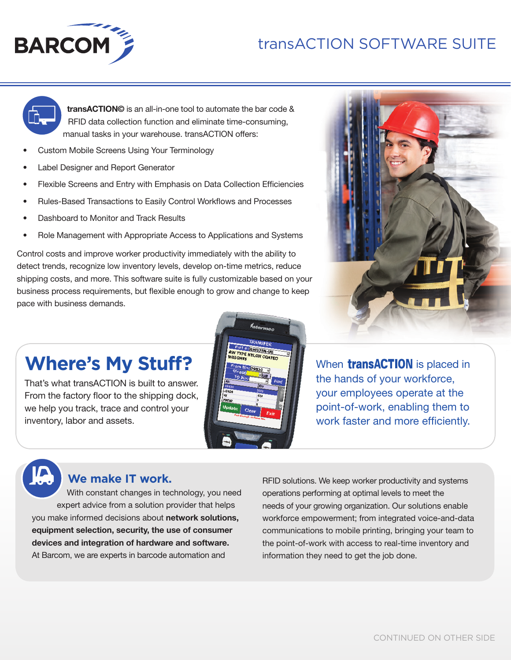## transACTION SOFTWARE SUITE





**transACTION©** is an all-in-one tool to automate the bar code & RFID data collection function and eliminate time-consuming, manual tasks in your warehouse. transACTION offers:

- Custom Mobile Screens Using Your Terminology
- Label Designer and Report Generator
- Flexible Screens and Entry with Emphasis on Data Collection Efficiencies
- Rules-Based Transactions to Easily Control Workflows and Processes
- Dashboard to Monitor and Track Results
- Role Management with Appropriate Access to Applications and Systems

Control costs and improve worker productivity immediately with the ability to detect trends, recognize low inventory levels, develop on-time metrics, reduce shipping costs, and more. This software suite is fully customizable based on your business process requirements, but flexible enough to grow and change to keep pace with business demands.



When **transACTION** is placed in the hands of your workforce, your employees operate at the point-of-work, enabling them to work faster and more efficiently.

# **Where's My Stuff?**

That's what transACTION is built to answer. From the factory floor to the shipping dock, we help you track, trace and control your inventory, labor and assets.



## **We make IT work.**

With constant changes in technology, you need expert advice from a solution provider that helps you make informed decisions about **network solutions, equipment selection, security, the use of consumer devices and integration of hardware and software.** At Barcom, we are experts in barcode automation and

RFID solutions. We keep worker productivity and systems operations performing at optimal levels to meet the needs of your growing organization. Our solutions enable workforce empowerment; from integrated voice-and-data communications to mobile printing, bringing your team to the point-of-work with access to real-time inventory and information they need to get the job done.